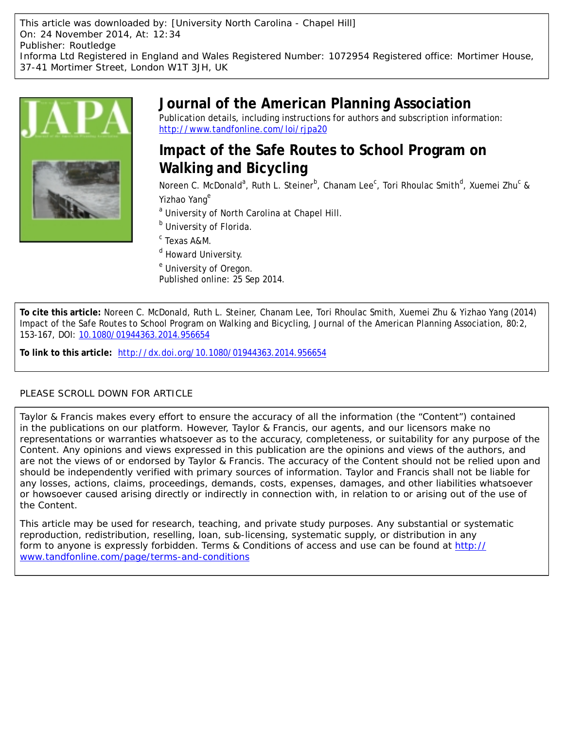This article was downloaded by: [University North Carolina - Chapel Hill] On: 24 November 2014, At: 12:34 Publisher: Routledge Informa Ltd Registered in England and Wales Registered Number: 1072954 Registered office: Mortimer House, 37-41 Mortimer Street, London W1T 3JH, UK



# **Journal of the American Planning Association**

Publication details, including instructions for authors and subscription information: <http://www.tandfonline.com/loi/rjpa20>

## **Impact of the Safe Routes to School Program on Walking and Bicycling**

Noreen C. McDonald<sup>a</sup>, Ruth L. Steiner<sup>b</sup>, Chanam Lee<sup>c</sup>, Tori Rhoulac Smith<sup>d</sup>, Xuemei Zhu<sup>c</sup> & Yizhao Yang<sup>e</sup>

- <sup>a</sup> University of North Carolina at Chapel Hill.
- **b** University of Florida.
- c Texas A&M.
- <sup>d</sup> Howard University.
- <sup>e</sup> University of Oregon.
- Published online: 25 Sep 2014.

**To cite this article:** Noreen C. McDonald, Ruth L. Steiner, Chanam Lee, Tori Rhoulac Smith, Xuemei Zhu & Yizhao Yang (2014) Impact of the Safe Routes to School Program on Walking and Bicycling, Journal of the American Planning Association, 80:2, 153-167, DOI: [10.1080/01944363.2014.956654](http://www.tandfonline.com/action/showCitFormats?doi=10.1080/01944363.2014.956654)

**To link to this article:** <http://dx.doi.org/10.1080/01944363.2014.956654>

## PLEASE SCROLL DOWN FOR ARTICLE

Taylor & Francis makes every effort to ensure the accuracy of all the information (the "Content") contained in the publications on our platform. However, Taylor & Francis, our agents, and our licensors make no representations or warranties whatsoever as to the accuracy, completeness, or suitability for any purpose of the Content. Any opinions and views expressed in this publication are the opinions and views of the authors, and are not the views of or endorsed by Taylor & Francis. The accuracy of the Content should not be relied upon and should be independently verified with primary sources of information. Taylor and Francis shall not be liable for any losses, actions, claims, proceedings, demands, costs, expenses, damages, and other liabilities whatsoever or howsoever caused arising directly or indirectly in connection with, in relation to or arising out of the use of the Content.

This article may be used for research, teaching, and private study purposes. Any substantial or systematic reproduction, redistribution, reselling, loan, sub-licensing, systematic supply, or distribution in any form to anyone is expressly forbidden. Terms & Conditions of access and use can be found at [http://](http://www.tandfonline.com/page/terms-and-conditions) [www.tandfonline.com/page/terms-and-conditions](http://www.tandfonline.com/page/terms-and-conditions)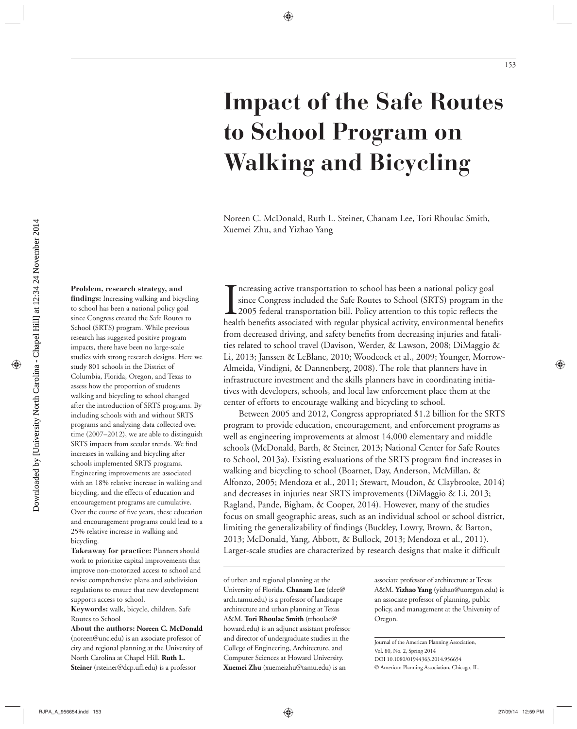# **Impact of the Safe Routes to School Program on Walking and Bicycling**

Noreen C. McDonald, Ruth L. Steiner, Chanam Lee, Tori Rhoulac Smith, Xuemei Zhu, and Yizhao Yang

**Problem, research strategy, and**  findings: Increasing walking and bicycling to school has been a national policy goal since Congress created the Safe Routes to School (SRTS) program. While previous research has suggested positive program impacts, there have been no large-scale studies with strong research designs. Here we study 801 schools in the District of Columbia, Florida, Oregon, and Texas to assess how the proportion of students walking and bicycling to school changed after the introduction of SRTS programs. By including schools with and without SRTS programs and analyzing data collected over time (2007–2012), we are able to distinguish SRTS impacts from secular trends. We find increases in walking and bicycling after schools implemented SRTS programs. Engineering improvements are associated with an 18% relative increase in walking and bicycling, and the effects of education and encouragement programs are cumulative. Over the course of five years, these education and encouragement programs could lead to a 25% relative increase in walking and bicycling.

**Takeaway for practice:** Planners should work to prioritize capital improvements that improve non-motorized access to school and revise comprehensive plans and subdivision regulations to ensure that new development supports access to school.

**Keywords:** walk, bicycle, children, Safe Routes to School

**About the authors: Noreen C. McDonald** (noreen@unc.edu) is an associate professor of city and regional planning at the University of North Carolina at Chapel Hill. **Ruth L. Steiner** (rsteiner@dcp.ufl.edu) is a professor

Increasing active transportation to school has been a national policy goal since Congress included the Safe Routes to School (SRTS) program in the 2005 federal transportation bill. Policy attention to this topic reflects t ncreasing active transportation to school has been a national policy goal since Congress included the Safe Routes to School (SRTS) program in the .2005 federal transportation bill. Policy attention to this topic reflects the from decreased driving, and safety benefits from decreasing injuries and fatalities related to school travel (Davison, Werder, & Lawson, 2008; DiMaggio & Li, 2013; Janssen & LeBlanc, 2010; Woodcock et al., 2009; Younger, Morrow-Almeida, Vindigni, & Dannenberg, 2008). The role that planners have in infrastructure investment and the skills planners have in coordinating initiatives with developers, schools, and local law enforcement place them at the center of efforts to encourage walking and bicycling to school.

Between 2005 and 2012, Congress appropriated \$1.2 billion for the SRTS program to provide education, encouragement, and enforcement programs as well as engineering improvements at almost 14,000 elementary and middle schools (McDonald, Barth, & Steiner, 2013; National Center for Safe Routes to School, 2013a). Existing evaluations of the SRTS program find increases in walking and bicycling to school (Boarnet, Day, Anderson, McMillan, & Alfonzo, 2005; Mendoza et al., 2011; Stewart, Moudon, & Claybrooke, 2014) and decreases in injuries near SRTS improvements (DiMaggio & Li, 2013; Ragland, Pande, Bigham, & Cooper, 2014). However, many of the studies focus on small geographic areas, such as an individual school or school district, limiting the generalizability of findings (Buckley, Lowry, Brown, & Barton, 2013; McDonald, Yang, Abbott, & Bullock, 2013; Mendoza et al., 2011). Larger-scale studies are characterized by research designs that make it difficult

of urban and regional planning at the University of Florida. **Chanam Lee** (clee@ arch.tamu.edu) is a professor of landscape architecture and urban planning at Texas A&M. **Tori Rhoulac Smith** (trhoulac@ howard.edu) is an adjunct assistant professor and director of undergraduate studies in the College of Engineering, Architecture, and Computer Sciences at Howard University. **Xuemei Zhu** (xuemeizhu@tamu.edu) is an

associate professor of architecture at Texas A&M. **Yizhao Yang** (yizhao@uoregon.edu) is an associate professor of planning, public policy, and management at the University of Oregon.

Journal of the American Planning Association, Vol. 80, No. 2, Spring 2014 DOI 10.1080/01944363.2014.956654 © American Planning Association, Chicago, IL.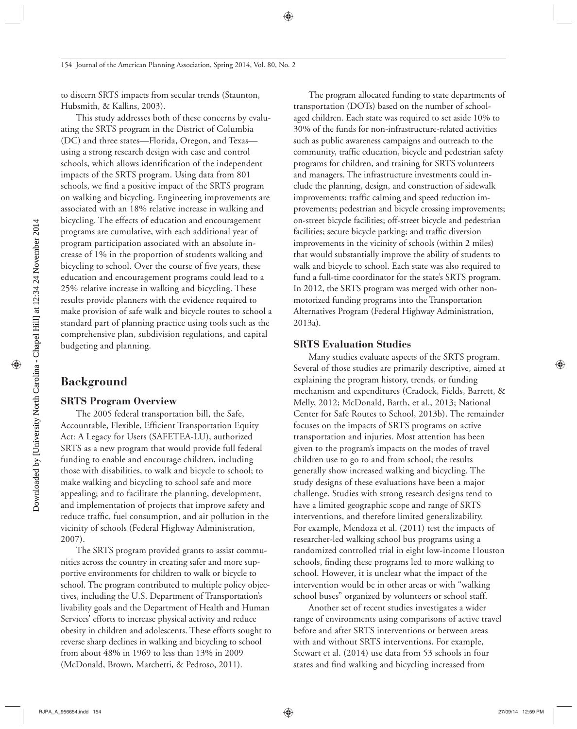to discern SRTS impacts from secular trends (Staunton, Hubsmith, & Kallins, 2003).

This study addresses both of these concerns by evaluating the SRTS program in the District of Columbia (DC) and three states—Florida, Oregon, and Texas using a strong research design with case and control schools, which allows identification of the independent impacts of the SRTS program. Using data from 801 schools, we find a positive impact of the SRTS program on walking and bicycling. Engineering improvements are associated with an 18% relative increase in walking and bicycling. The effects of education and encouragement programs are cumulative, with each additional year of program participation associated with an absolute increase of 1% in the proportion of students walking and bicycling to school. Over the course of five years, these education and encouragement programs could lead to a 25% relative increase in walking and bicycling. These results provide planners with the evidence required to make provision of safe walk and bicycle routes to school a standard part of planning practice using tools such as the comprehensive plan, subdivision regulations, and capital budgeting and planning.

## **Background**

## **SRTS Program Overview**

The 2005 federal transportation bill, the Safe, Accountable, Flexible, Efficient Transportation Equity Act: A Legacy for Users (SAFETEA-LU), authorized SRTS as a new program that would provide full federal funding to enable and encourage children, including those with disabilities, to walk and bicycle to school; to make walking and bicycling to school safe and more appealing; and to facilitate the planning, development, and implementation of projects that improve safety and reduce traffic, fuel consumption, and air pollution in the vicinity of schools (Federal Highway Administration, 2007).

The SRTS program provided grants to assist communities across the country in creating safer and more supportive environments for children to walk or bicycle to school. The program contributed to multiple policy objectives, including the U.S. Department of Transportation's livability goals and the Department of Health and Human Services' efforts to increase physical activity and reduce obesity in children and adolescents. These efforts sought to reverse sharp declines in walking and bicycling to school from about 48% in 1969 to less than 13% in 2009 ( McDonald, Brown, Marchetti, & Pedroso, 2011).

The program allocated funding to state departments of transportation (DOTs) based on the number of schoolaged children. Each state was required to set aside 10% to 30% of the funds for non-infrastructure-related activities such as public awareness campaigns and outreach to the community, traffic education, bicycle and pedestrian safety programs for children, and training for SRTS volunteers and managers. The infrastructure investments could include the planning, design, and construction of sidewalk improvements; traffic calming and speed reduction improvements; pedestrian and bicycle crossing improvements; on-street bicycle facilities; off-street bicycle and pedestrian facilities; secure bicycle parking; and traffic diversion improvements in the vicinity of schools (within 2 miles) that would substantially improve the ability of students to walk and bicycle to school. Each state was also required to fund a full-time coordinator for the state's SRTS program. In 2012, the SRTS program was merged with other nonmotorized funding programs into the Transportation Alternatives Program (Federal Highway Administration, 2013a).

## **SRTS Evaluation Studies**

Many studies evaluate aspects of the SRTS program. Several of those studies are primarily descriptive, aimed at explaining the program history, trends, or funding mechanism and expenditures (Cradock, Fields, Barrett, & Melly, 2012; McDonald, Barth, et al., 2013; National Center for Safe Routes to School, 2013b). The remainder focuses on the impacts of SRTS programs on active transportation and injuries. Most attention has been given to the program's impacts on the modes of travel children use to go to and from school; the results generally show increased walking and bicycling. The study designs of these evaluations have been a major challenge. Studies with strong research designs tend to have a limited geographic scope and range of SRTS interventions, and therefore limited generalizability. For example, Mendoza et al. (2011) test the impacts of researcher-led walking school bus programs using a randomized controlled trial in eight low-income Houston schools, fi nding these programs led to more walking to school. However, it is unclear what the impact of the intervention would be in other areas or with "walking school buses" organized by volunteers or school staff.

Another set of recent studies investigates a wider range of environments using comparisons of active travel before and after SRTS interventions or between areas with and without SRTS interventions. For example, Stewart et al. (2014) use data from 53 schools in four states and find walking and bicycling increased from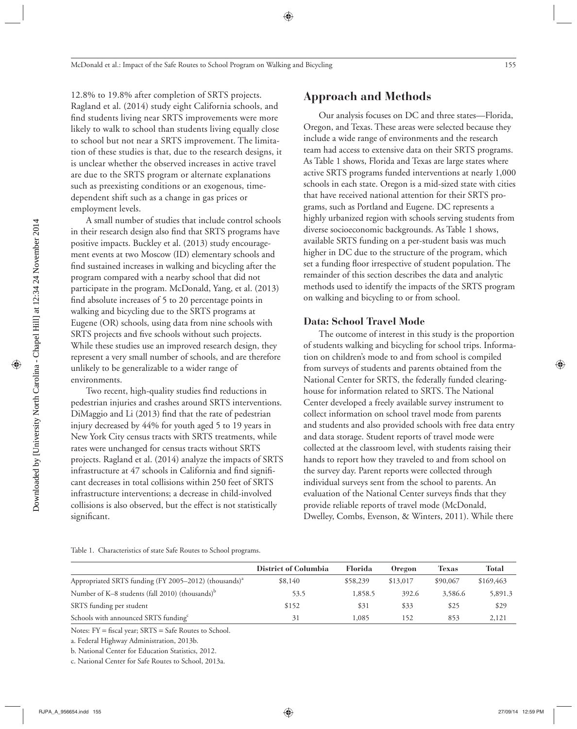12.8% to 19.8% after completion of SRTS projects. Ragland et al. (2014) study eight California schools, and find students living near SRTS improvements were more likely to walk to school than students living equally close to school but not near a SRTS improvement. The limitation of these studies is that, due to the research designs, it is unclear whether the observed increases in active travel are due to the SRTS program or alternate explanations such as preexisting conditions or an exogenous, timedependent shift such as a change in gas prices or employment levels.

A small number of studies that include control schools in their research design also find that SRTS programs have positive impacts. Buckley et al. (2013) study encouragement events at two Moscow (ID) elementary schools and find sustained increases in walking and bicycling after the program compared with a nearby school that did not participate in the program. McDonald, Yang, et al. (2013) find absolute increases of  $5$  to 20 percentage points in walking and bicycling due to the SRTS programs at Eugene (OR) schools, using data from nine schools with SRTS projects and five schools without such projects. While these studies use an improved research design, they represent a very small number of schools, and are therefore unlikely to be generalizable to a wider range of environments.

Two recent, high-quality studies find reductions in pedestrian injuries and crashes around SRTS interventions. DiMaggio and Li (2013) find that the rate of pedestrian injury decreased by 44% for youth aged 5 to 19 years in New York City census tracts with SRTS treatments, while rates were unchanged for census tracts without SRTS projects. Ragland et al. (2014) analyze the impacts of SRTS infrastructure at 47 schools in California and find significant decreases in total collisions within 250 feet of SRTS infrastructure interventions; a decrease in child-involved collisions is also observed, but the effect is not statistically significant.

## **Approach and Methods**

Our analysis focuses on DC and three states—Florida, Oregon, and Texas. These areas were selected because they include a wide range of environments and the research team had access to extensive data on their SRTS programs. As Table 1 shows, Florida and Texas are large states where active SRTS programs funded interventions at nearly 1,000 schools in each state. Oregon is a mid-sized state with cities that have received national attention for their SRTS programs, such as Portland and Eugene. DC represents a highly urbanized region with schools serving students from diverse socioeconomic backgrounds. As Table 1 shows, available SRTS funding on a per-student basis was much higher in DC due to the structure of the program, which set a funding floor irrespective of student population. The remainder of this section describes the data and analytic methods used to identify the impacts of the SRTS program on walking and bicycling to or from school.

## **Data: School Travel Mode**

The outcome of interest in this study is the proportion of students walking and bicycling for school trips. Information on children's mode to and from school is compiled from surveys of students and parents obtained from the National Center for SRTS, the federally funded clearinghouse for information related to SRTS. The National Center developed a freely available survey instrument to collect information on school travel mode from parents and students and also provided schools with free data entry and data storage. Student reports of travel mode were collected at the classroom level, with students raising their hands to report how they traveled to and from school on the survey day. Parent reports were collected through individual surveys sent from the school to parents. An evaluation of the National Center surveys finds that they provide reliable reports of travel mode (McDonald, Dwelley, Combs, Evenson, & Winters, 2011). While there

Table 1. Characteristics of state Safe Routes to School programs.

|                                                                   | District of Columbia | Florida  | <b>Oregon</b> | Texas    | Total     |
|-------------------------------------------------------------------|----------------------|----------|---------------|----------|-----------|
| Appropriated SRTS funding (FY 2005-2012) (thousands) <sup>a</sup> | \$8,140              | \$58,239 | \$13,017      | \$90,067 | \$169,463 |
| Number of K–8 students (fall 2010) (thousands) $^b$               | 53.5                 | 1,858.5  | 392.6         | 3,586.6  | 5,891.3   |
| SRTS funding per student                                          | \$152                | \$31     | \$33          | \$25     | \$29      |
| Schools with announced SRTS funding <sup>c</sup>                  | 31                   | 1.085    | 152           | 853      | 2,121     |

Notes:  $FY =$  fiscal year;  $SRTS =$  Safe Routes to School.

a. Federal Highway Administration, 2013b.

b. National Center for Education Statistics, 2012.

c. National Center for Safe Routes to School, 2013a.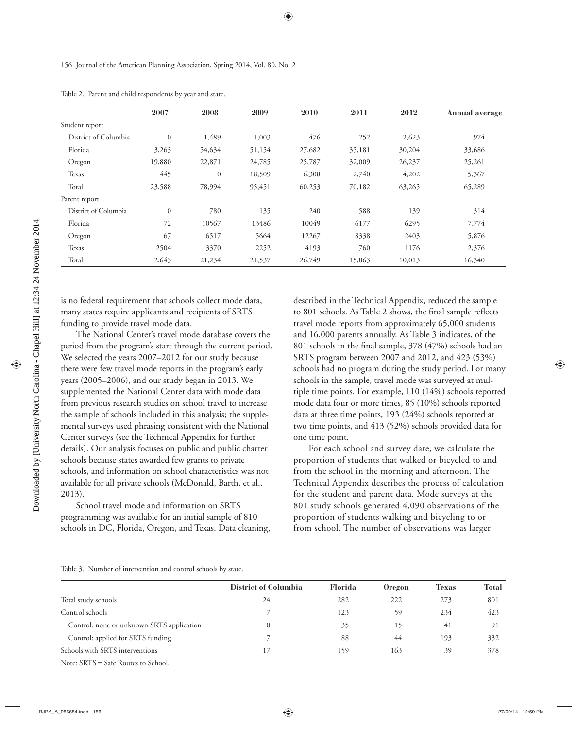|                      | 2007             | 2008           | 2009   | 2010   | 2011   | 2012   | <b>Annual average</b> |
|----------------------|------------------|----------------|--------|--------|--------|--------|-----------------------|
| Student report       |                  |                |        |        |        |        |                       |
| District of Columbia | $\boldsymbol{0}$ | 1,489          | 1,003  | 476    | 252    | 2,623  | 974                   |
| Florida              | 3,263            | 54,634         | 51,154 | 27,682 | 35,181 | 30,204 | 33,686                |
| Oregon               | 19,880           | 22,871         | 24,785 | 25,787 | 32,009 | 26,237 | 25,261                |
| Texas                | 445              | $\overline{0}$ | 18,509 | 6,308  | 2,740  | 4,202  | 5,367                 |
| Total                | 23,588           | 78,994         | 95,451 | 60,253 | 70,182 | 63,265 | 65,289                |
| Parent report        |                  |                |        |        |        |        |                       |
| District of Columbia | $\mathbf{0}$     | 780            | 135    | 240    | 588    | 139    | 314                   |
| Florida              | 72               | 10567          | 13486  | 10049  | 6177   | 6295   | 7,774                 |
| Oregon               | 67               | 6517           | 5664   | 12267  | 8338   | 2403   | 5,876                 |
| Texas                | 2504             | 3370           | 2252   | 4193   | 760    | 1176   | 2,376                 |
| Total                | 2,643            | 21,234         | 21,537 | 26,749 | 15,863 | 10,013 | 16,340                |

Table 2. Parent and child respondents by year and state.

is no federal requirement that schools collect mode data, many states require applicants and recipients of SRTS funding to provide travel mode data.

The National Center's travel mode database covers the period from the program's start through the current period. We selected the years 2007–2012 for our study because there were few travel mode reports in the program's early years (2005–2006), and our study began in 2013. We supplemented the National Center data with mode data from previous research studies on school travel to increase the sample of schools included in this analysis; the supplemental surveys used phrasing consistent with the National Center surveys (see the Technical Appendix for further details). Our analysis focuses on public and public charter schools because states awarded few grants to private schools, and information on school characteristics was not available for all private schools (McDonald, Barth, et al., 2013).

School travel mode and information on SRTS programming was available for an initial sample of 810 schools in DC, Florida, Oregon, and Texas. Data cleaning, described in the Technical Appendix, reduced the sample to 801 schools. As Table 2 shows, the final sample reflects travel mode reports from approximately 65,000 students and 16,000 parents annually. As Table 3 indicates, of the 801 schools in the final sample, 378 (47%) schools had an SRTS program between 2007 and 2012, and 423 (53%) schools had no program during the study period. For many schools in the sample, travel mode was surveyed at multiple time points. For example, 110 (14%) schools reported mode data four or more times, 85 (10%) schools reported data at three time points, 193 (24%) schools reported at two time points, and 413 (52%) schools provided data for one time point.

For each school and survey date, we calculate the proportion of students that walked or bicycled to and from the school in the morning and afternoon. The Technical Appendix describes the process of calculation for the student and parent data. Mode surveys at the 801 study schools generated 4,090 observations of the proportion of students walking and bicycling to or from school. The number of observations was larger

|  |  | Table 3. Number of intervention and control schools by state. |  |  |  |
|--|--|---------------------------------------------------------------|--|--|--|
|--|--|---------------------------------------------------------------|--|--|--|

|                                           | District of Columbia | <b>Florida</b> | <b>Oregon</b> | <b>Texas</b> | Total |
|-------------------------------------------|----------------------|----------------|---------------|--------------|-------|
| Total study schools                       | 24                   | 282            | 222           | 273          | 801   |
| Control schools                           |                      | 123            | 59            | 234          | 423   |
| Control: none or unknown SRTS application |                      | 35             |               | 41           | 91    |
| Control: applied for SRTS funding         |                      | 88             | 44            | 193          | 332   |
| Schools with SRTS interventions           | 17                   | 159            | 163           | 39           | 378   |
|                                           |                      |                |               |              |       |

Note: SRTS = Safe Routes to School.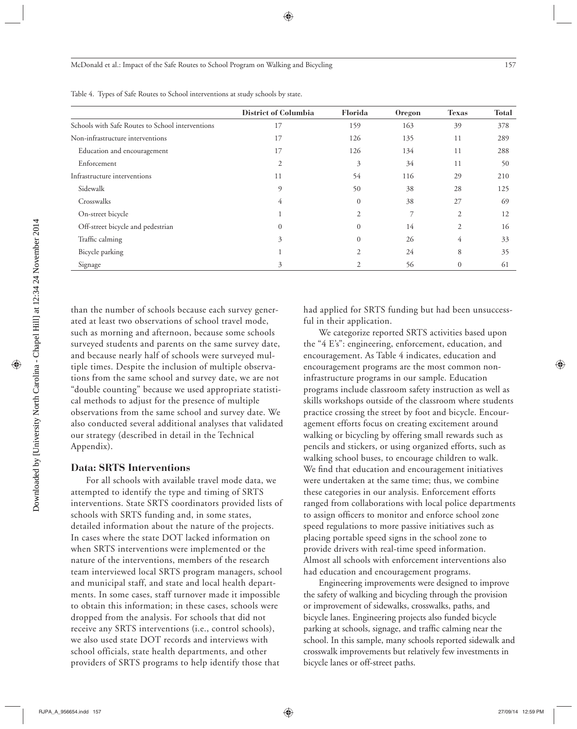|                                                  | <b>District of Columbia</b> | Florida        | <b>Oregon</b> | <b>Texas</b>   | <b>Total</b> |
|--------------------------------------------------|-----------------------------|----------------|---------------|----------------|--------------|
| Schools with Safe Routes to School interventions | 17                          | 159            | 163           | 39             | 378          |
| Non-infrastructure interventions                 | 17                          | 126            | 135           | 11             | 289          |
| Education and encouragement                      | 17                          | 126            | 134           | 11             | 288          |
| Enforcement                                      | 2                           | 3              | 34            | 11             | 50           |
| Infrastructure interventions                     | 11                          | 54             | 116           | 29             | 210          |
| Sidewalk                                         | 9                           | 50             | 38            | 28             | 125          |
| Crosswalks                                       | 4                           | $\mathbf{0}$   | 38            | 27             | 69           |
| On-street bicycle                                |                             | 2              | 7             | $\overline{2}$ | 12           |
| Off-street bicycle and pedestrian                | $\Omega$                    | $\mathbf{0}$   | 14            | 2              | 16           |
| Traffic calming                                  | 3                           | $\overline{0}$ | 26            | 4              | 33           |
| Bicycle parking                                  |                             | 2              | 24            | 8              | 35           |
| Signage                                          | 3                           | 2              | 56            | $\mathbf{0}$   | 61           |

Table 4. Types of Safe Routes to School interventions at study schools by state.

than the number of schools because each survey generated at least two observations of school travel mode, such as morning and afternoon, because some schools surveyed students and parents on the same survey date, and because nearly half of schools were surveyed multiple times. Despite the inclusion of multiple observations from the same school and survey date, we are not "double counting" because we used appropriate statistical methods to adjust for the presence of multiple observations from the same school and survey date. We also conducted several additional analyses that validated our strategy (described in detail in the Technical Appendix).

## **Data: SRTS Interventions**

For all schools with available travel mode data, we attempted to identify the type and timing of SRTS interventions. State SRTS coordinators provided lists of schools with SRTS funding and, in some states, detailed information about the nature of the projects. In cases where the state DOT lacked information on when SRTS interventions were implemented or the nature of the interventions, members of the research team interviewed local SRTS program managers, school and municipal staff, and state and local health departments. In some cases, staff turnover made it impossible to obtain this information; in these cases, schools were dropped from the analysis. For schools that did not receive any SRTS interventions (i.e., control schools), we also used state DOT records and interviews with school officials, state health departments, and other providers of SRTS programs to help identify those that

had applied for SRTS funding but had been unsuccessful in their application.

We categorize reported SRTS activities based upon the "4 E's": engineering, enforcement, education, and encouragement. As Table 4 indicates, education and encouragement programs are the most common noninfrastructure programs in our sample. Education programs include classroom safety instruction as well as skills workshops outside of the classroom where students practice crossing the street by foot and bicycle. Encouragement efforts focus on creating excitement around walking or bicycling by offering small rewards such as pencils and stickers, or using organized efforts, such as walking school buses, to encourage children to walk. We find that education and encouragement initiatives were undertaken at the same time; thus, we combine these categories in our analysis. Enforcement efforts ranged from collaborations with local police departments to assign officers to monitor and enforce school zone speed regulations to more passive initiatives such as placing portable speed signs in the school zone to provide drivers with real-time speed information. Almost all schools with enforcement interventions also had education and encouragement programs.

Engineering improvements were designed to improve the safety of walking and bicycling through the provision or improvement of sidewalks, crosswalks, paths, and bicycle lanes. Engineering projects also funded bicycle parking at schools, signage, and traffic calming near the school. In this sample, many schools reported sidewalk and crosswalk improvements but relatively few investments in bicycle lanes or off-street paths.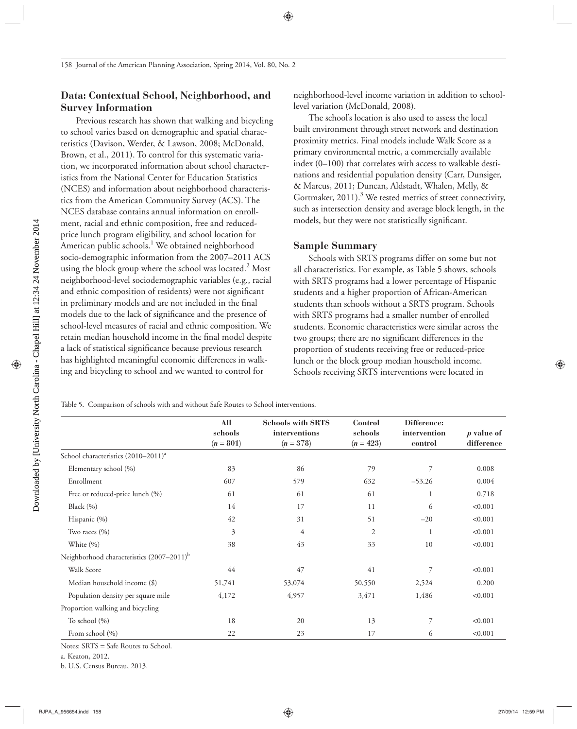## **Data: Contextual School, Neighborhood, and Survey Information**

Previous research has shown that walking and bicycling to school varies based on demographic and spatial characteristics (Davison, Werder, & Lawson, 2008; McDonald, Brown, et al., 2011). To control for this systematic variation, we incorporated information about school characteristics from the National Center for Education Statistics (NCES) and information about neighborhood characteristics from the American Community Survey (ACS). The NCES database contains annual information on enrollment, racial and ethnic composition, free and reducedprice lunch program eligibility, and school location for American public schools.<sup>1</sup> We obtained neighborhood socio-demographic information from the 2007–2011 ACS using the block group where the school was located.<sup>2</sup> Most neighborhood-level sociodemographic variables (e.g., racial and ethnic composition of residents) were not significant in preliminary models and are not included in the final models due to the lack of significance and the presence of school-level measures of racial and ethnic composition. We retain median household income in the final model despite a lack of statistical significance because previous research has highlighted meaningful economic differences in walking and bicycling to school and we wanted to control for

neighborhood-level income variation in addition to schoollevel variation (McDonald, 2008).

The school's location is also used to assess the local built environment through street network and destination proximity metrics. Final models include Walk Score as a primary environmental metric, a commercially available index (0–100) that correlates with access to walkable destinations and residential population density (Carr, Dunsiger, & Marcus, 2011; Duncan, Aldstadt, Whalen, Melly, & Gortmaker,  $2011$ ).<sup>3</sup> We tested metrics of street connectivity, such as intersection density and average block length, in the models, but they were not statistically significant.

#### **Sample Summary**

Schools with SRTS programs differ on some but not all characteristics. For example, as Table 5 shows, schools with SRTS programs had a lower percentage of Hispanic students and a higher proportion of African-American students than schools without a SRTS program. Schools with SRTS programs had a smaller number of enrolled students. Economic characteristics were similar across the two groups; there are no significant differences in the proportion of students receiving free or reduced-price lunch or the block group median household income. Schools receiving SRTS interventions were located in

Table 5. Comparison of schools with and without Safe Routes to School interventions.

|                                                       | All<br><b>Schools with SRTS</b> |                              | Control                | Difference:             |                          |
|-------------------------------------------------------|---------------------------------|------------------------------|------------------------|-------------------------|--------------------------|
|                                                       | schools<br>$(n = 801)$          | interventions<br>$(n = 378)$ | schools<br>$(n = 423)$ | intervention<br>control | p value of<br>difference |
| School characteristics (2010-2011) <sup>a</sup>       |                                 |                              |                        |                         |                          |
| Elementary school (%)                                 | 83                              | 86                           | 79                     | 7                       | 0.008                    |
| Enrollment                                            | 607                             | 579                          | 632                    | $-53.26$                | 0.004                    |
| Free or reduced-price lunch (%)                       | 61                              | 61                           | 61                     | 1                       | 0.718                    |
| Black $(\% )$                                         | 14                              | 17                           | 11                     | 6                       | < 0.001                  |
| Hispanic (%)                                          | 42                              | 31                           | 51                     | $-20$                   | < 0.001                  |
| Two races $(\% )$                                     | 3                               | 4                            | $\overline{2}$         |                         | < 0.001                  |
| White (%)                                             | 38                              | 43                           | 33                     | 10                      | < 0.001                  |
| Neighborhood characteristics (2007-2011) <sup>b</sup> |                                 |                              |                        |                         |                          |
| Walk Score                                            | 44                              | 47                           | 41                     | 7                       | < 0.001                  |
| Median household income (\$)                          | 51,741                          | 53,074                       | 50,550                 | 2,524                   | 0.200                    |
| Population density per square mile                    | 4,172                           | 4,957                        | 3,471                  | 1,486                   | < 0.001                  |
| Proportion walking and bicycling                      |                                 |                              |                        |                         |                          |
| To school $(\% )$                                     | 18                              | 20                           | 13                     | 7                       | < 0.001                  |
| From school (%)                                       | 22                              | 23                           | 17                     | 6                       | < 0.001                  |

Notes: SRTS = Safe Routes to School.

a. Keaton, 2012.

b. U.S. Census Bureau, 2013.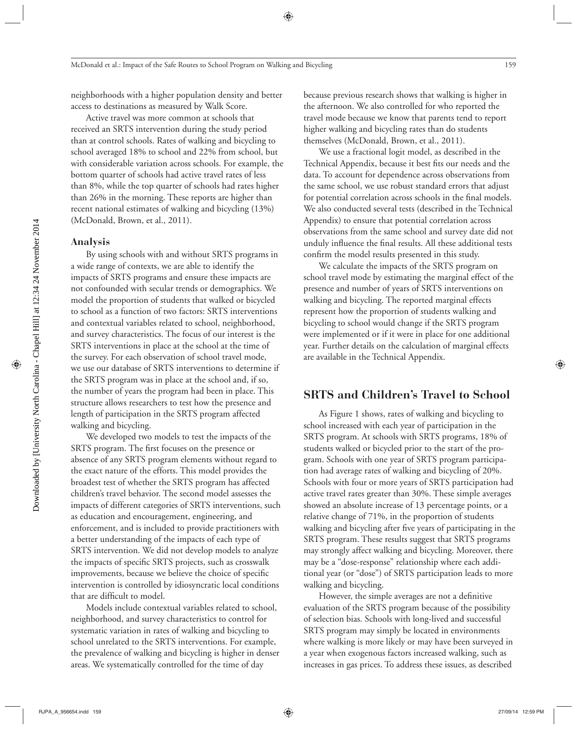neighborhoods with a higher population density and better access to destinations as measured by Walk Score.

Active travel was more common at schools that received an SRTS intervention during the study period than at control schools. Rates of walking and bicycling to school averaged 18% to school and 22% from school, but with considerable variation across schools. For example, the bottom quarter of schools had active travel rates of less than 8%, while the top quarter of schools had rates higher than 26% in the morning. These reports are higher than recent national estimates of walking and bicycling (13%) (McDonald, Brown, et al., 2011).

## **Analysis**

By using schools with and without SRTS programs in a wide range of contexts, we are able to identify the impacts of SRTS programs and ensure these impacts are not confounded with secular trends or demographics. We model the proportion of students that walked or bicycled to school as a function of two factors: SRTS interventions and contextual variables related to school, neighborhood, and survey characteristics. The focus of our interest is the SRTS interventions in place at the school at the time of the survey. For each observation of school travel mode, we use our database of SRTS interventions to determine if the SRTS program was in place at the school and, if so, the number of years the program had been in place. This structure allows researchers to test how the presence and length of participation in the SRTS program affected walking and bicycling.

We developed two models to test the impacts of the SRTS program. The first focuses on the presence or absence of any SRTS program elements without regard to the exact nature of the efforts. This model provides the broadest test of whether the SRTS program has affected children's travel behavior. The second model assesses the impacts of different categories of SRTS interventions, such as education and encouragement, engineering, and enforcement, and is included to provide practitioners with a better understanding of the impacts of each type of SRTS intervention. We did not develop models to analyze the impacts of specific SRTS projects, such as crosswalk improvements, because we believe the choice of specific intervention is controlled by idiosyncratic local conditions that are difficult to model.

Models include contextual variables related to school, neighborhood, and survey characteristics to control for systematic variation in rates of walking and bicycling to school unrelated to the SRTS interventions. For example, the prevalence of walking and bicycling is higher in denser areas. We systematically controlled for the time of day

because previous research shows that walking is higher in the afternoon. We also controlled for who reported the travel mode because we know that parents tend to report higher walking and bicycling rates than do students themselves (McDonald, Brown, et al., 2011).

We use a fractional logit model, as described in the Technical Appendix, because it best fits our needs and the data. To account for dependence across observations from the same school, we use robust standard errors that adjust for potential correlation across schools in the final models. We also conducted several tests (described in the Technical Appendix) to ensure that potential correlation across observations from the same school and survey date did not unduly influence the final results. All these additional tests confirm the model results presented in this study.

We calculate the impacts of the SRTS program on school travel mode by estimating the marginal effect of the presence and number of years of SRTS interventions on walking and bicycling. The reported marginal effects represent how the proportion of students walking and bicycling to school would change if the SRTS program were implemented or if it were in place for one additional year. Further details on the calculation of marginal effects are available in the Technical Appendix.

## **SRTS and Children's Travel to School**

As Figure 1 shows, rates of walking and bicycling to school increased with each year of participation in the SRTS program. At schools with SRTS programs, 18% of students walked or bicycled prior to the start of the program. Schools with one year of SRTS program participation had average rates of walking and bicycling of 20%. Schools with four or more years of SRTS participation had active travel rates greater than 30%. These simple averages showed an absolute increase of 13 percentage points, or a relative change of 71%, in the proportion of students walking and bicycling after five years of participating in the SRTS program. These results suggest that SRTS programs may strongly affect walking and bicycling. Moreover, there may be a "dose-response" relationship where each additional year (or "dose") of SRTS participation leads to more walking and bicycling.

However, the simple averages are not a definitive evaluation of the SRTS program because of the possibility of selection bias. Schools with long-lived and successful SRTS program may simply be located in environments where walking is more likely or may have been surveyed in a year when exogenous factors increased walking, such as increases in gas prices. To address these issues, as described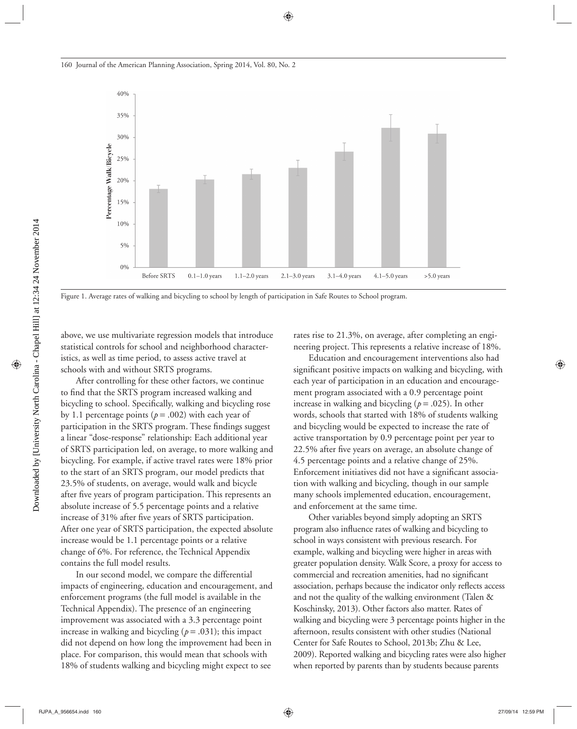

Figure 1. Average rates of walking and bicycling to school by length of participation in Safe Routes to School program.

above, we use multivariate regression models that introduce statistical controls for school and neighborhood characteristics, as well as time period, to assess active travel at schools with and without SRTS programs.

After controlling for these other factors, we continue to find that the SRTS program increased walking and bicycling to school. Specifically, walking and bicycling rose by 1.1 percentage points ( $p = .002$ ) with each year of participation in the SRTS program. These findings suggest a linear "dose-response" relationship: Each additional year of SRTS participation led, on average, to more walking and bicycling. For example, if active travel rates were 18% prior to the start of an SRTS program, our model predicts that 23.5% of students, on average, would walk and bicycle after five years of program participation. This represents an absolute increase of 5.5 percentage points and a relative increase of 31% after five years of SRTS participation. After one year of SRTS participation, the expected absolute increase would be 1.1 percentage points or a relative change of 6%. For reference, the Technical Appendix contains the full model results.

In our second model, we compare the differential impacts of engineering, education and encouragement, and enforcement programs (the full model is available in the Technical Appendix). The presence of an engineering improvement was associated with a 3.3 percentage point increase in walking and bicycling ( $p = .031$ ); this impact did not depend on how long the improvement had been in place. For comparison, this would mean that schools with 18% of students walking and bicycling might expect to see

rates rise to 21.3%, on average, after completing an engineering project. This represents a relative increase of 18%.

Education and encouragement interventions also had significant positive impacts on walking and bicycling, with each year of participation in an education and encouragement program associated with a 0.9 percentage point increase in walking and bicycling  $(p = .025)$ . In other words, schools that started with 18% of students walking and bicycling would be expected to increase the rate of active transportation by 0.9 percentage point per year to 22.5% after five years on average, an absolute change of 4.5 percentage points and a relative change of 25%. Enforcement initiatives did not have a significant association with walking and bicycling, though in our sample many schools implemented education, encouragement, and enforcement at the same time.

Other variables beyond simply adopting an SRTS program also influence rates of walking and bicycling to school in ways consistent with previous research. For example, walking and bicycling were higher in areas with greater population density. Walk Score, a proxy for access to commercial and recreation amenities, had no significant association, perhaps because the indicator only reflects access and not the quality of the walking environment (Talen & Koschinsky, 2013). Other factors also matter. Rates of walking and bicycling were 3 percentage points higher in the afternoon, results consistent with other studies (National Center for Safe Routes to School, 2013b; Zhu & Lee, 2009). Reported walking and bicycling rates were also higher when reported by parents than by students because parents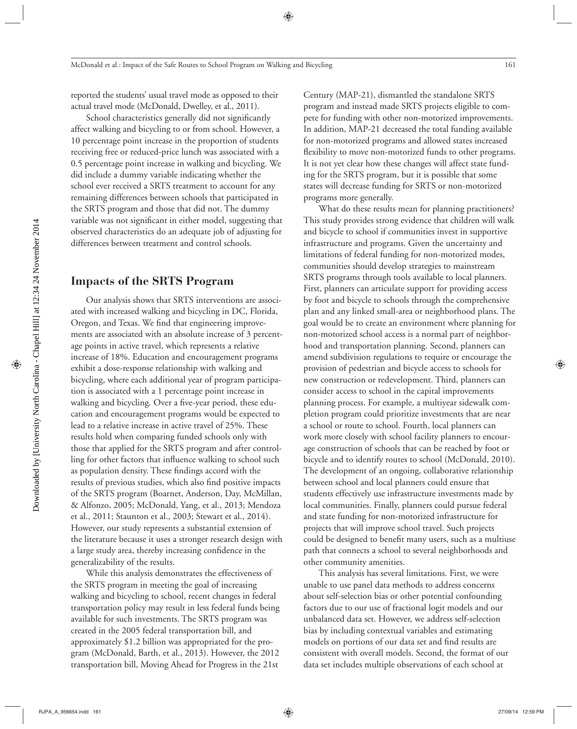reported the students' usual travel mode as opposed to their actual travel mode (McDonald, Dwelley, et al., 2011).

School characteristics generally did not significantly affect walking and bicycling to or from school. However, a 10 percentage point increase in the proportion of students receiving free or reduced-price lunch was associated with a 0.5 percentage point increase in walking and bicycling. We did include a dummy variable indicating whether the school ever received a SRTS treatment to account for any remaining differences between schools that participated in the SRTS program and those that did not. The dummy variable was not significant in either model, suggesting that observed characteristics do an adequate job of adjusting for differences between treatment and control schools.

## **Impacts of the SRTS Program**

Our analysis shows that SRTS interventions are associated with increased walking and bicycling in DC, Florida, Oregon, and Texas. We find that engineering improvements are associated with an absolute increase of 3 percentage points in active travel, which represents a relative increase of 18%. Education and encouragement programs exhibit a dose-response relationship with walking and bicycling, where each additional year of program participation is associated with a 1 percentage point increase in walking and bicycling. Over a five-year period, these education and encouragement programs would be expected to lead to a relative increase in active travel of 25%. These results hold when comparing funded schools only with those that applied for the SRTS program and after controlling for other factors that influence walking to school such as population density. These findings accord with the results of previous studies, which also find positive impacts of the SRTS program (Boarnet, Anderson, Day, McMillan, & Alfonzo, 2005; McDonald, Yang, et al., 2013; Mendoza et al., 2011; Staunton et al., 2003; Stewart et al., 2014). However, our study represents a substantial extension of the literature because it uses a stronger research design with a large study area, thereby increasing confidence in the generalizability of the results.

While this analysis demonstrates the effectiveness of the SRTS program in meeting the goal of increasing walking and bicycling to school, recent changes in federal transportation policy may result in less federal funds being available for such investments. The SRTS program was created in the 2005 federal transportation bill, and approximately \$1.2 billion was appropriated for the program (McDonald, Barth, et al., 2013). However, the 2012 transportation bill, Moving Ahead for Progress in the 21st

Century (MAP-21), dismantled the standalone SRTS program and instead made SRTS projects eligible to compete for funding with other non-motorized improvements. In addition, MAP-21 decreased the total funding available for non-motorized programs and allowed states increased flexibility to move non-motorized funds to other programs. It is not yet clear how these changes will affect state funding for the SRTS program, but it is possible that some states will decrease funding for SRTS or non-motorized programs more generally.

What do these results mean for planning practitioners? This study provides strong evidence that children will walk and bicycle to school if communities invest in supportive infrastructure and programs. Given the uncertainty and limitations of federal funding for non-motorized modes, communities should develop strategies to mainstream SRTS programs through tools available to local planners. First, planners can articulate support for providing access by foot and bicycle to schools through the comprehensive plan and any linked small-area or neighborhood plans. The goal would be to create an environment where planning for non-motorized school access is a normal part of neighborhood and transportation planning. Second, planners can amend subdivision regulations to require or encourage the provision of pedestrian and bicycle access to schools for new construction or redevelopment. Third, planners can consider access to school in the capital improvements planning process. For example, a multiyear sidewalk completion program could prioritize investments that are near a school or route to school. Fourth, local planners can work more closely with school facility planners to encourage construction of schools that can be reached by foot or bicycle and to identify routes to school (McDonald, 2010). The development of an ongoing, collaborative relationship between school and local planners could ensure that students effectively use infrastructure investments made by local communities. Finally, planners could pursue federal and state funding for non-motorized infrastructure for projects that will improve school travel. Such projects could be designed to benefit many users, such as a multiuse path that connects a school to several neighborhoods and other community amenities.

This analysis has several limitations. First, we were unable to use panel data methods to address concerns about self-selection bias or other potential confounding factors due to our use of fractional logit models and our unbalanced data set. However, we address self-selection bias by including contextual variables and estimating models on portions of our data set and find results are consistent with overall models. Second, the format of our data set includes multiple observations of each school at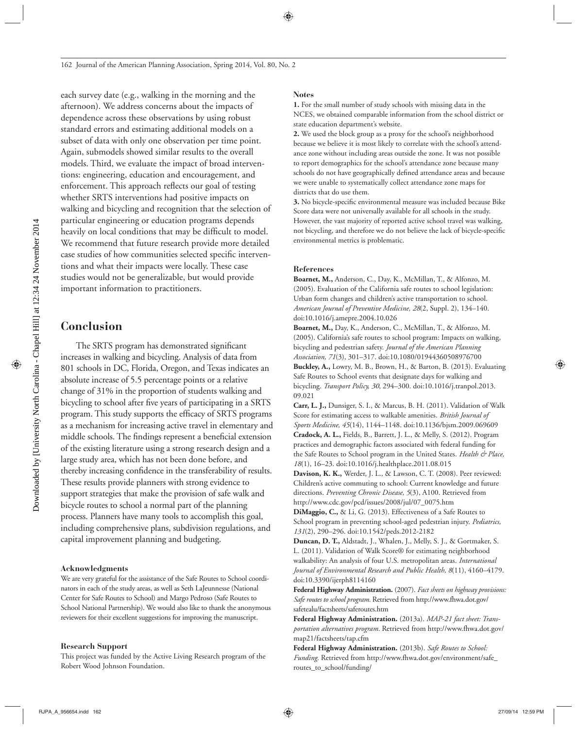each survey date (e.g., walking in the morning and the afternoon). We address concerns about the impacts of dependence across these observations by using robust standard errors and estimating additional models on a subset of data with only one observation per time point. Again, submodels showed similar results to the overall models. Third, we evaluate the impact of broad interventions: engineering, education and encouragement, and enforcement. This approach reflects our goal of testing whether SRTS interventions had positive impacts on walking and bicycling and recognition that the selection of particular engineering or education programs depends heavily on local conditions that may be difficult to model. We recommend that future research provide more detailed case studies of how communities selected specific interventions and what their impacts were locally. These case studies would not be generalizable, but would provide important information to practitioners.

## **Conclusion**

The SRTS program has demonstrated significant increases in walking and bicycling. Analysis of data from 801 schools in DC, Florida, Oregon, and Texas indicates an absolute increase of 5.5 percentage points or a relative change of 31% in the proportion of students walking and bicycling to school after five years of participating in a SRTS program. This study supports the efficacy of SRTS programs as a mechanism for increasing active travel in elementary and middle schools. The findings represent a beneficial extension of the existing literature using a strong research design and a large study area, which has not been done before, and thereby increasing confidence in the transferability of results. These results provide planners with strong evidence to support strategies that make the provision of safe walk and bicycle routes to school a normal part of the planning process. Planners have many tools to accomplish this goal, including comprehensive plans, subdivision regulations, and capital improvement planning and budgeting.

#### **Acknowledgments**

We are very grateful for the assistance of the Safe Routes to School coordinators in each of the study areas, as well as Seth LaJeunnesse (National Center for Safe Routes to School) and Margo Pedroso (Safe Routes to School National Partnership). We would also like to thank the anonymous reviewers for their excellent suggestions for improving the manuscript.

#### **Research Support**

This project was funded by the Active Living Research program of the Robert Wood Johnson Foundation.

#### **Notes**

**1.** For the small number of study schools with missing data in the NCES, we obtained comparable information from the school district or state education department's website.

**2.** We used the block group as a proxy for the school's neighborhood because we believe it is most likely to correlate with the school's attendance zone without including areas outside the zone. It was not possible to report demographics for the school's attendance zone because many schools do not have geographically defined attendance areas and because we were unable to systematically collect attendance zone maps for districts that do use them.

3. No bicycle-specific environmental measure was included because Bike Score data were not universally available for all schools in the study. However, the vast majority of reported active school travel was walking, not bicycling, and therefore we do not believe the lack of bicycle-specific environmental metrics is problematic.

#### **References**

**Boarnet, M.,** Anderson, C., Day, K., McMillan, T., & Alfonzo, M. (2005). Evaluation of the California safe routes to school legislation: Urban form changes and children's active transportation to school. *American Journal of Preventive Medicine, 28*(2, Suppl. 2), 134–140. doi:10.1016/j.amepre.2004.10.026

**Boarnet, M.,** Day, K., Anderson, C., McMillan, T., & Alfonzo, M. (2005). California's safe routes to school program: Impacts on walking, bicycling and pedestrian safety. *Journal of the American Planning Association, 71*(3), 301–317. doi:10.1080/01944360508976700 **Buckley, A.,** Lowry, M. B., Brown, H., & Barton, B. (2013). Evaluating Safe Routes to School events that designate days for walking and bicycling. *Transport Policy, 30*, 294–300. doi:10.1016/j.tranpol.2013. 09.021

**Carr, L. J.,** Dunsiger, S. I., & Marcus, B. H. (2011). Validation of Walk Score for estimating access to walkable amenities. *British Journal of Sports Medicine, 45*(14), 1144–1148. doi:10.1136/bjsm.2009.069609 **Cradock, A. L.,** Fields, B., Barrett, J. L., & Melly, S. (2012). Program practices and demographic factors associated with federal funding for the Safe Routes to School program in the United States. *Health & Place, 18*(1), 16–23. doi:10.1016/j.healthplace.2011.08.015

**Davison, K. K.,** Werder, J. L., & Lawson, C. T. (2008). Peer reviewed: Children's active commuting to school: Current knowledge and future directions. *Preventing Chronic Disease, 5*(3), A100. Retrieved from http://www.cdc.gov/pcd/issues/2008/jul/07\_0075.htm

**DiMaggio, C.,** & Li, G. (2013). Effectiveness of a Safe Routes to School program in preventing school-aged pedestrian injury. *Pediatrics, 131*(2), 290–296. doi:10.1542/peds.2012-2182

**Duncan, D. T.,** Aldstadt, J., Whalen, J., Melly, S. J., & Gortmaker, S. L. (2011). Validation of Walk Score® for estimating neighborhood walkability: An analysis of four U.S. metropolitan areas. *International Journal of Environmental Research and Public Health, 8*(11), 4160–4179. doi:10.3390/ijerph8114160

**Federal Highway Administration.** (2007). *Fact sheets on highway provisions: Safe routes to school program.* Retrieved from http://www.fhwa.dot.gov/ safetealu/factsheets/saferoutes.htm

**Federal Highway Administration.** (2013a). *MAP-21 fact sheet: Transportation alternatives program.* Retrieved from http://www.fhwa.dot.gov/ map21/factsheets/tap.cfm

**Federal Highway Administration.** (2013b). *Safe Routes to School: Funding.* Retrieved from http://www.fhwa.dot.gov/environment/safe\_ routes\_to\_school/funding/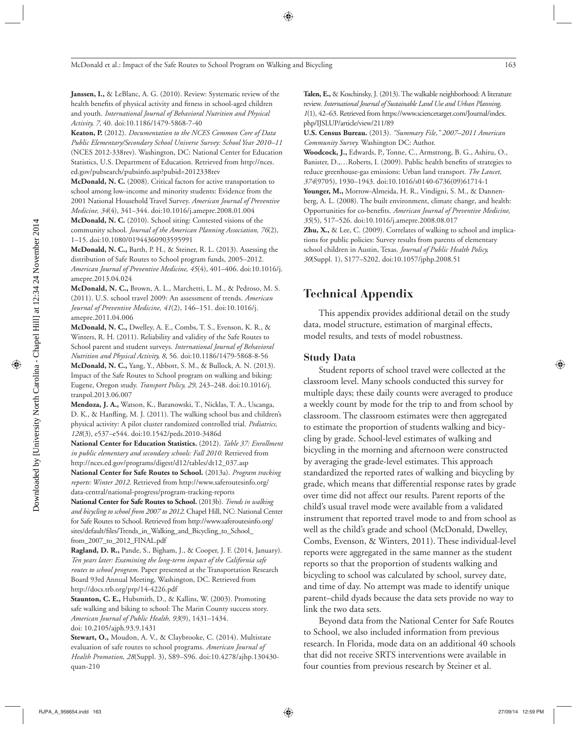**Janssen, I.,** & LeBlanc, A. G. (2010). Review: Systematic review of the health benefits of physical activity and fitness in school-aged children and youth. *International Journal of Behavioral Nutrition and Physical Activity, 7,* 40. doi:10.1186/1479-5868-7-40

**Keaton, P.** (2012). *Documentation to the NCES Common Core of Data Public Elementary/Secondary School Universe Survey: School Year 2010–11*  (NCES 2012-338rev). Washington, DC: National Center for Education Statistics, U.S. Department of Education. Retrieved from http://nces. ed.gov/pubsearch/pubsinfo.asp?pubid=2012338rev

**McDonald, N. C.** (2008). Critical factors for active transportation to school among low-income and minority students: Evidence from the 2001 National Household Travel Survey. *American Journal of Preventive Medicine, 34*(4), 341–344. doi:10.1016/j.amepre.2008.01.004

**McDonald, N. C.** (2010). School siting: Contested visions of the community school. *Journal of the American Planning Association, 76*(2), 1–15. doi:10.1080/01944360903595991

**McDonald, N. C.,** Barth, P. H., & Steiner, R. L. (2013). Assessing the distribution of Safe Routes to School program funds, 2005–2012. *American Journal of Preventive Medicine, 45*(4), 401–406. doi:10.1016/j. amepre.2013.04.024

**McDonald, N. C.,** Brown, A. L., Marchetti, L. M., & Pedroso, M. S. (2011). U.S. school travel 2009: An assessment of trends. *American Journal of Preventive Medicine, 41*(2), 146–151. doi:10.1016/j. amepre.2011.04.006

**McDonald, N. C.,** Dwelley, A. E., Combs, T. S., Evenson, K. R., & Winters, R. H. (2011). Reliability and validity of the Safe Routes to School parent and student surveys. *International Journal of Behavioral Nutrition and Physical Activity, 8*, 56. doi:10.1186/1479-5868-8-56 **McDonald, N. C.,** Yang, Y., Abbott, S. M., & Bullock, A. N. (2013). Impact of the Safe Routes to School program on walking and biking: Eugene, Oregon study. *Transport Policy, 29*, 243–248. doi:10.1016/j. tranpol.2013.06.007

**Mendoza, J. A.,** Watson, K., Baranowski, T., Nicklas, T. A., Uscanga, D. K., & Hanfling, M. J. (2011). The walking school bus and children's physical activity: A pilot cluster randomized controlled trial. *Pediatrics, 128*(3), e537–e544. doi:10.1542/peds.2010-3486d

**National Center for Education Statistics.** (2012). *Table 37: Enrollment*  in public elementary and secondary schools: Fall 2010. Retrieved from http://nces.ed.gov/programs/digest/d12/tables/dt12\_037.asp

**National Center for Safe Routes to School.** (2013a). *Program tracking reports: Winter 2012.* Retrieved from http://www.saferoutesinfo.org/ data-central/national-progress/program-tracking-reports

**National Center for Safe Routes to School.** (2013b). *Trends in walking and bicycling to school from 2007 to 2012*. Chapel Hill, NC: National Center for Safe Routes to School. Retrieved from http://www.saferoutesinfo.org/ sites/default/files/Trends\_in\_Walking\_and\_Bicycling\_to\_School\_ from\_2007\_to\_2012\_FINAL.pdf

**Ragland, D. R.,** Pande, S., Bigham, J., & Cooper, J. F. (2014, January). *Ten years later: Examining the long-term impact of the California safe routes to school program.* Paper presented at the Transportation Research Board 93rd Annual Meeting, Washington, DC. Retrieved from http://docs.trb.org/prp/14-4226.pdf

**Staunton, C. E.,** Hubsmith, D., & Kallins, W. (2003). Promoting safe walking and biking to school: The Marin County success story.  *American Journal of Public Health, 93*(9), 1431–1434. doi: 10.2105/ajph.93.9.1431

**Stewart, O.,** Moudon, A. V., & Claybrooke, C. (2014). Multistate evaluation of safe routes to school programs. *American Journal of Health Promotion, 28*(Suppl. 3), S89–S96. doi:10.4278/ajhp.130430 quan-210

**Talen, E.,** & Koschinsky, J. (2013). The walkable neighborhood: A literature review. *International Journal of Sustainable Land Use and Urban Planning*, *1*(1), 42–63. Retrieved from https://www.sciencetarget.com/Journal/index. php/IJSLUP/article/view/211/89

**U.S. Census Bureau.** (2013). *"Summary File," 2007–2011 American Community Survey.* Washington DC: Author.

**Woodcock, J.,** Edwards, P., Tonne, C., Armstrong, B. G., Ashiru, O., Banister, D.,...Roberts, I. (2009). Public health benefits of strategies to reduce greenhouse-gas emissions: Urban land transport. *The Lancet, 374*(9705), 1930–1943. doi:10.1016/s0140-6736(09)61714-1

**Younger, M.,** Morrow-Almeida, H. R., Vindigni, S. M., & Dannenberg, A. L. (2008). The built environment, climate change, and health: Opportunities for co-benefits. American Journal of Preventive Medicine, *35*(5), 517–526. doi:10.1016/j.amepre.2008.08.017

Zhu, X., & Lee, C. (2009). Correlates of walking to school and implications for public policies: Survey results from parents of elementary school children in Austin, Texas. *Journal of Public Health Policy, 30*(Suppl. 1), S177–S202. doi:10.1057/jphp.2008.51

## **Technical Appendix**

This appendix provides additional detail on the study data, model structure, estimation of marginal effects, model results, and tests of model robustness.

## **Study Data**

Student reports of school travel were collected at the classroom level. Many schools conducted this survey for multiple days; these daily counts were averaged to produce a weekly count by mode for the trip to and from school by classroom. The classroom estimates were then aggregated to estimate the proportion of students walking and bicycling by grade. School-level estimates of walking and bicycling in the morning and afternoon were constructed by averaging the grade-level estimates. This approach standardized the reported rates of walking and bicycling by grade, which means that differential response rates by grade over time did not affect our results. Parent reports of the child's usual travel mode were available from a validated instrument that reported travel mode to and from school as well as the child's grade and school (McDonald, Dwelley, Combs, Evenson, & Winters, 2011). These individual-level reports were aggregated in the same manner as the student reports so that the proportion of students walking and bicycling to school was calculated by school, survey date, and time of day. No attempt was made to identify unique parent–child dyads because the data sets provide no way to link the two data sets.

Beyond data from the National Center for Safe Routes to School, we also included information from previous research. In Florida, mode data on an additional 40 schools that did not receive SRTS interventions were available in four counties from previous research by Steiner et al.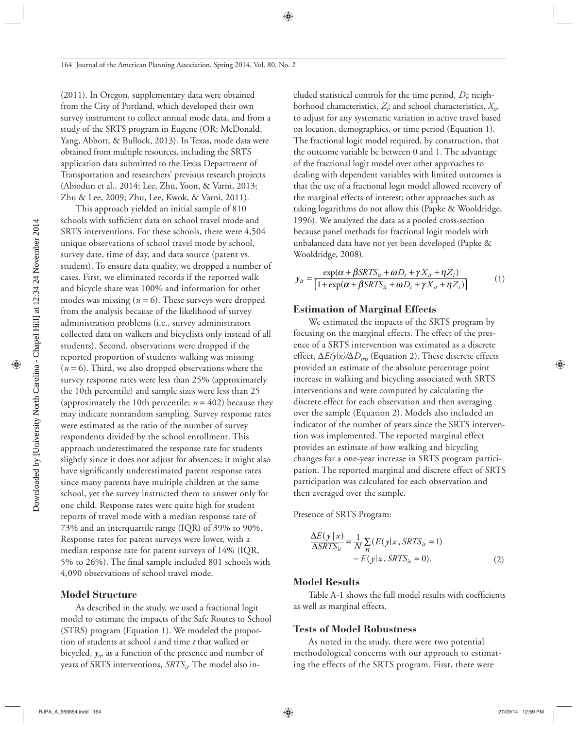(2011). In Oregon, supplementary data were obtained from the City of Portland, which developed their own survey instrument to collect annual mode data, and from a study of the SRTS program in Eugene (OR; McDonald, Yang, Abbott, & Bullock, 2013). In Texas, mode data were obtained from multiple resources, including the SRTS application data submitted to the Texas Department of Transportation and researchers' previous research projects (Abiodun et al., 2014; Lee, Zhu, Yoon, & Varni, 2013; Zhu & Lee, 2009; Zhu, Lee, Kwok, & Varni, 2011).

This approach yielded an initial sample of 810 schools with sufficient data on school travel mode and SRTS interventions. For these schools, there were 4,504 unique observations of school travel mode by school, survey date, time of day, and data source (parent vs. student). To ensure data quality, we dropped a number of cases. First, we eliminated records if the reported walk and bicycle share was 100% and information for other modes was missing  $(n = 6)$ . These surveys were dropped from the analysis because of the likelihood of survey administration problems (i.e., survey administrators collected data on walkers and bicyclists only instead of all students). Second, observations were dropped if the reported proportion of students walking was missing  $(n = 6)$ . Third, we also dropped observations where the survey response rates were less than 25% (approximately the 10th percentile) and sample sizes were less than 25 (approximately the 10th percentile;  $n = 402$ ) because they may indicate nonrandom sampling. Survey response rates were estimated as the ratio of the number of survey respondents divided by the school enrollment. This approach underestimated the response rate for students slightly since it does not adjust for absences; it might also have significantly underestimated parent response rates since many parents have multiple children at the same school, yet the survey instructed them to answer only for one child. Response rates were quite high for student reports of travel mode with a median response rate of 73% and an interquartile range (IQR) of 39% to 90%. Response rates for parent surveys were lower, with a median response rate for parent surveys of 14% (IQR, 5% to 26%). The final sample included 801 schools with 4,090 observations of school travel mode.

#### **Model Structure**

As described in the study, we used a fractional logit model to estimate the impacts of the Safe Routes to School (STRS) program (Equation 1). We modeled the proportion of students at school *i* and time *t* that walked or bicycled,  $y_{ip}$  as a function of the presence and number of years of SRTS interventions, *SRTS<sub>it</sub>*. The model also in-

cluded statistical controls for the time period,  $D_{\dot{r}}$  neighborhood characteristics,  $Z_{\vec{p}}$  and school characteristics,  $X_{\vec{p}}$ to adjust for any systematic variation in active travel based on location, demographics, or time period (Equation 1). The fractional logit model required, by construction, that the outcome variable be between 0 and 1. The advantage of the fractional logit model over other approaches to dealing with dependent variables with limited outcomes is that the use of a fractional logit model allowed recovery of the marginal effects of interest; other approaches such as taking logarithms do not allow this (Papke & Wooldridge, 1996). We analyzed the data as a pooled cross-section because panel methods for fractional logit models with unbalanced data have not yet been developed (Papke & Wooldridge, 2008).

$$
y_{it} = \frac{\exp(\alpha + \beta SRTS_{it} + \omega D_t + \gamma X_{it} + \eta Z_i)}{[1 + \exp(\alpha + \beta SRTS_{it} + \omega D_t + \gamma X_{it} + \eta Z_i)]}
$$
(1)

## **Estimation of Marginal Effects**

We estimated the impacts of the SRTS program by focusing on the marginal effects. The effect of the presence of a SRTS intervention was estimated as a discrete effect,  $\Delta E(y|x)/\Delta D_{\text{strs}}$  (Equation 2). These discrete effects provided an estimate of the absolute percentage point increase in walking and bicycling associated with SRTS interventions and were computed by calculating the discrete effect for each observation and then averaging over the sample (Equation 2). Models also included an indicator of the number of years since the SRTS intervention was implemented. The reported marginal effect provides an estimate of how walking and bicycling changes for a one-year increase in SRTS program participation. The reported marginal and discrete effect of SRTS participation was calculated for each observation and then averaged over the sample.

Presence of SRTS Program:

$$
\frac{\Delta E(y \mid x)}{\Delta SRTS_{it}} = \frac{1}{N} \sum_{n} (E(y \mid x, SRTS_{it} = 1) - E(y \mid x, SRTS_{it} = 0). \tag{2}
$$

## **Model Results**

Table A-1 shows the full model results with coefficients as well as marginal effects.

## **Tests of Model Robustness**

As noted in the study, there were two potential methodological concerns with our approach to estimating the effects of the SRTS program. First, there were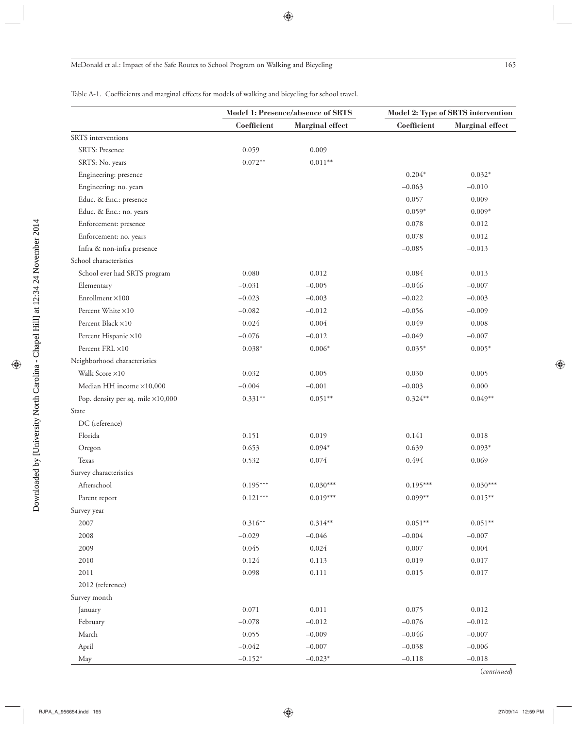Table A-1. Coefficients and marginal effects for models of walking and bicycling for school travel.

|                                   |             | Model 1: Presence/absence of SRTS |             | Model 2: Type of SRTS intervention |
|-----------------------------------|-------------|-----------------------------------|-------------|------------------------------------|
|                                   | Coefficient | <b>Marginal effect</b>            | Coefficient | <b>Marginal effect</b>             |
| SRTS interventions                |             |                                   |             |                                    |
| <b>SRTS: Presence</b>             | 0.059       | 0.009                             |             |                                    |
| SRTS: No. years                   | $0.072**$   | $0.011**$                         |             |                                    |
| Engineering: presence             |             |                                   | $0.204*$    | $0.032*$                           |
| Engineering: no. years            |             |                                   | $-0.063$    | $-0.010$                           |
| Educ. & Enc.: presence            |             |                                   | 0.057       | 0.009                              |
| Educ. & Enc.: no. years           |             |                                   | $0.059*$    | $0.009*$                           |
| Enforcement: presence             |             |                                   | 0.078       | 0.012                              |
| Enforcement: no. years            |             |                                   | 0.078       | 0.012                              |
| Infra & non-infra presence        |             |                                   | $-0.085$    | $-0.013$                           |
| School characteristics            |             |                                   |             |                                    |
| School ever had SRTS program      | 0.080       | 0.012                             | 0.084       | 0.013                              |
| Elementary                        | $-0.031$    | $-0.005$                          | $-0.046$    | $-0.007$                           |
| Enrollment ×100                   | $-0.023$    | $-0.003$                          | $-0.022$    | $-0.003$                           |
| Percent White ×10                 | $-0.082$    | $-0.012$                          | $-0.056$    | $-0.009$                           |
| Percent Black ×10                 | 0.024       | 0.004                             | 0.049       | 0.008                              |
| Percent Hispanic ×10              | $-0.076$    | $-0.012$                          | $-0.049$    | $-0.007$                           |
| Percent FRL ×10                   | $0.038*$    | $0.006*$                          | $0.035*$    | $0.005*$                           |
| Neighborhood characteristics      |             |                                   |             |                                    |
| Walk Score ×10                    | 0.032       | 0.005                             | 0.030       | 0.005                              |
| Median HH income ×10,000          | $-0.004$    | $-0.001$                          | $-0.003$    | 0.000                              |
| Pop. density per sq. mile ×10,000 | $0.331**$   | $0.051**$                         | $0.324**$   | $0.049**$                          |
| State                             |             |                                   |             |                                    |
| DC (reference)                    |             |                                   |             |                                    |
| Florida                           | 0.151       | 0.019                             | 0.141       | 0.018                              |
| Oregon                            | 0.653       | $0.094*$                          | 0.639       | $0.093*$                           |
| Texas                             | 0.532       | 0.074                             | 0.494       | 0.069                              |
| Survey characteristics            |             |                                   |             |                                    |
| Afterschool                       | $0.195***$  | $0.030***$                        | $0.195***$  | $0.030***$                         |
| Parent report                     | $0.121***$  | $0.019***$                        | $0.099**$   | $0.015***$                         |
| Survey year                       |             |                                   |             |                                    |
| 2007                              | $0.316**$   | $0.314***$                        | $0.051**$   | $0.051**$                          |
| 2008                              | $-0.029$    | $-0.046$                          | $-0.004$    | $-0.007$                           |
| 2009                              | 0.045       | 0.024                             | 0.007       | 0.004                              |
| 2010                              | 0.124       | 0.113                             | 0.019       | $0.017\,$                          |
| 2011                              | 0.098       | 0.111                             | 0.015       | 0.017                              |
| 2012 (reference)                  |             |                                   |             |                                    |
| Survey month                      |             |                                   |             |                                    |
| January                           | 0.071       | 0.011                             | 0.075       | 0.012                              |
| February                          | $-0.078$    | $-0.012$                          | $-0.076$    | $-0.012$                           |
| March                             | 0.055       | $-0.009$                          | $-0.046$    | $-0.007$                           |
| April                             | $-0.042$    | $-0.007$                          | $-0.038$    | $-0.006$                           |
| May                               | $-0.152*$   | $-0.023*$                         | $-0.118$    | $-0.018$                           |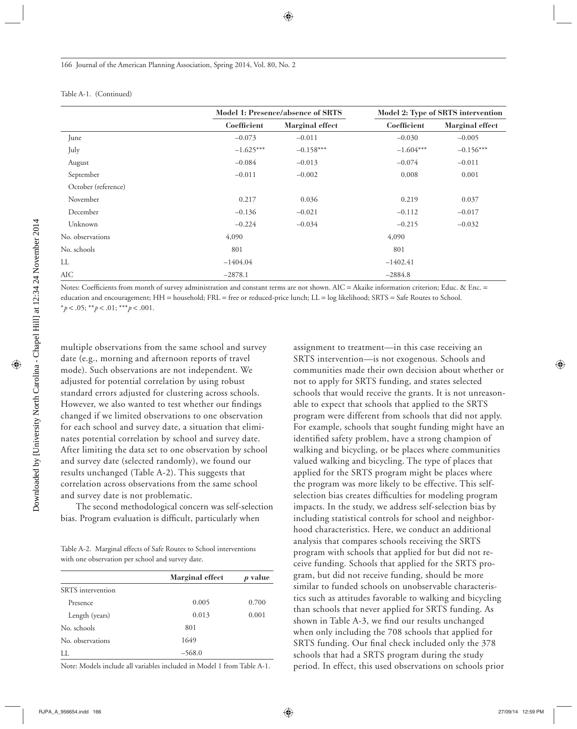#### Table A-1. (Continued)

|                     | Model 1: Presence/absence of SRTS |                 |             | Model 2: Type of SRTS intervention |
|---------------------|-----------------------------------|-----------------|-------------|------------------------------------|
|                     | Coefficient                       | Marginal effect | Coefficient | <b>Marginal effect</b>             |
| June                | $-0.073$                          | $-0.011$        | $-0.030$    | $-0.005$                           |
| July                | $-1.625***$                       | $-0.158***$     | $-1.604***$ | $-0.156***$                        |
| August              | $-0.084$                          | $-0.013$        | $-0.074$    | $-0.011$                           |
| September           | $-0.011$                          | $-0.002$        | 0.008       | 0.001                              |
| October (reference) |                                   |                 |             |                                    |
| November            | 0.217                             | 0.036           | 0.219       | 0.037                              |
| December            | $-0.136$                          | $-0.021$        | $-0.112$    | $-0.017$                           |
| Unknown             | $-0.224$                          | $-0.034$        | $-0.215$    | $-0.032$                           |
| No. observations    | 4,090                             |                 | 4,090       |                                    |
| No. schools         | 801                               |                 | 801         |                                    |
| LL                  | $-1404.04$                        |                 | $-1402.41$  |                                    |
| AIC                 | $-2878.1$                         |                 | $-2884.8$   |                                    |

Notes: Coefficients from month of survey administration and constant terms are not shown. AIC = Akaike information criterion; Educ. & Enc. = education and encouragement; HH = household; FRL = free or reduced-price lunch; LL = log likelihood; SRTS = Safe Routes to School.  $*_{p} < .05; **_{p} < .01; **_{p} < .001.$ 

multiple observations from the same school and survey date (e.g., morning and afternoon reports of travel mode). Such observations are not independent. We adjusted for potential correlation by using robust standard errors adjusted for clustering across schools. However, we also wanted to test whether our findings changed if we limited observations to one observation for each school and survey date, a situation that eliminates potential correlation by school and survey date. After limiting the data set to one observation by school and survey date (selected randomly), we found our results unchanged (Table A-2). This suggests that correlation across observations from the same school and survey date is not problematic.

The second methodological concern was self-selection bias. Program evaluation is difficult, particularly when

Table A-2. Marginal effects of Safe Routes to School interventions with one observation per school and survey date.

|                   | <b>Marginal effect</b> | <i>p</i> value |
|-------------------|------------------------|----------------|
| SRTS intervention |                        |                |
| Presence          | 0.005                  | 0.700          |
| Length (years)    | 0.013                  | 0.001          |
| No. schools       | 801                    |                |
| No. observations  | 1649                   |                |
| LL.               | $-568.0$               |                |

Note: Models include all variables included in Model 1 from Table A-1.

assignment to treatment—in this case receiving an SRTS intervention—is not exogenous. Schools and communities made their own decision about whether or not to apply for SRTS funding, and states selected schools that would receive the grants. It is not unreasonable to expect that schools that applied to the SRTS program were different from schools that did not apply. For example, schools that sought funding might have an identified safety problem, have a strong champion of walking and bicycling, or be places where communities valued walking and bicycling. The type of places that applied for the SRTS program might be places where the program was more likely to be effective. This selfselection bias creates difficulties for modeling program impacts. In the study, we address self-selection bias by including statistical controls for school and neighborhood characteristics. Here, we conduct an additional analysis that compares schools receiving the SRTS program with schools that applied for but did not receive funding. Schools that applied for the SRTS program, but did not receive funding, should be more similar to funded schools on unobservable characteristics such as attitudes favorable to walking and bicycling than schools that never applied for SRTS funding. As shown in Table A-3, we find our results unchanged when only including the 708 schools that applied for SRTS funding. Our final check included only the 378 schools that had a SRTS program during the study period. In effect, this used observations on schools prior